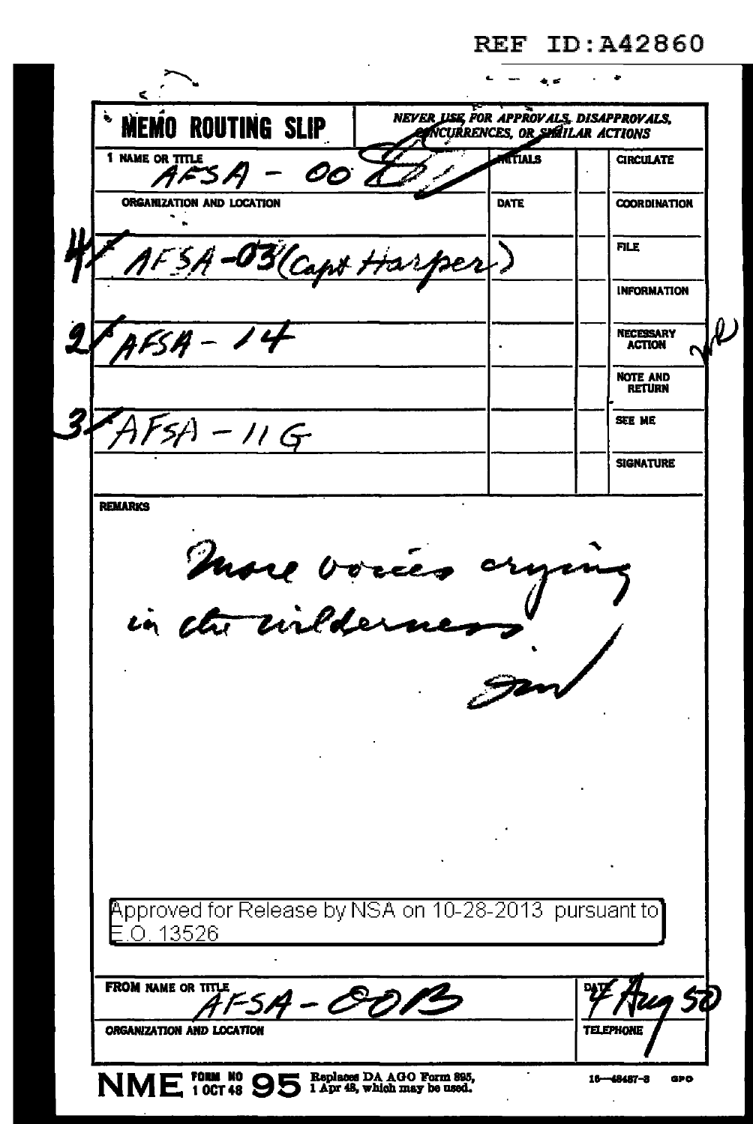### **REF ID: A42860**

| MEMO ROUTING SLIP                                                   | NEVER USE FOR APPROVALS, DISAPPROVALS,<br>NCURRENCES, OR SMITLAR ACTIONS |               |                                   |
|---------------------------------------------------------------------|--------------------------------------------------------------------------|---------------|-----------------------------------|
| 1 NAME OR TITLE<br>OO 0                                             |                                                                          | <b>TTIALS</b> | <b>CIRCULATE</b>                  |
| ORGANIZATION AND LOCATION                                           |                                                                          | DATE          | <b>COORDINATION</b>               |
| 4-03 Capt Harper                                                    |                                                                          |               | <b>FILE</b>                       |
|                                                                     |                                                                          |               | <b>INFORMATION</b>                |
| FSA - 14                                                            |                                                                          |               | <b>NECESSARY</b><br><b>ACTION</b> |
|                                                                     |                                                                          |               | <b>NOTE AND</b><br><b>RETURN</b>  |
| $4 - 11G$                                                           |                                                                          |               | <b>SEE ME</b>                     |
|                                                                     |                                                                          |               | <b>SIGNATURE</b>                  |
| <b>REMARKS</b><br>more voices                                       |                                                                          |               |                                   |
|                                                                     |                                                                          |               |                                   |
|                                                                     |                                                                          |               |                                   |
|                                                                     |                                                                          |               |                                   |
| Approved for Release by NSA on 10-28-2013  pursuant to`<br>O. 13526 |                                                                          |               |                                   |
| <b>FROM NAME OR TITLE</b><br>$A - CP$                               |                                                                          |               |                                   |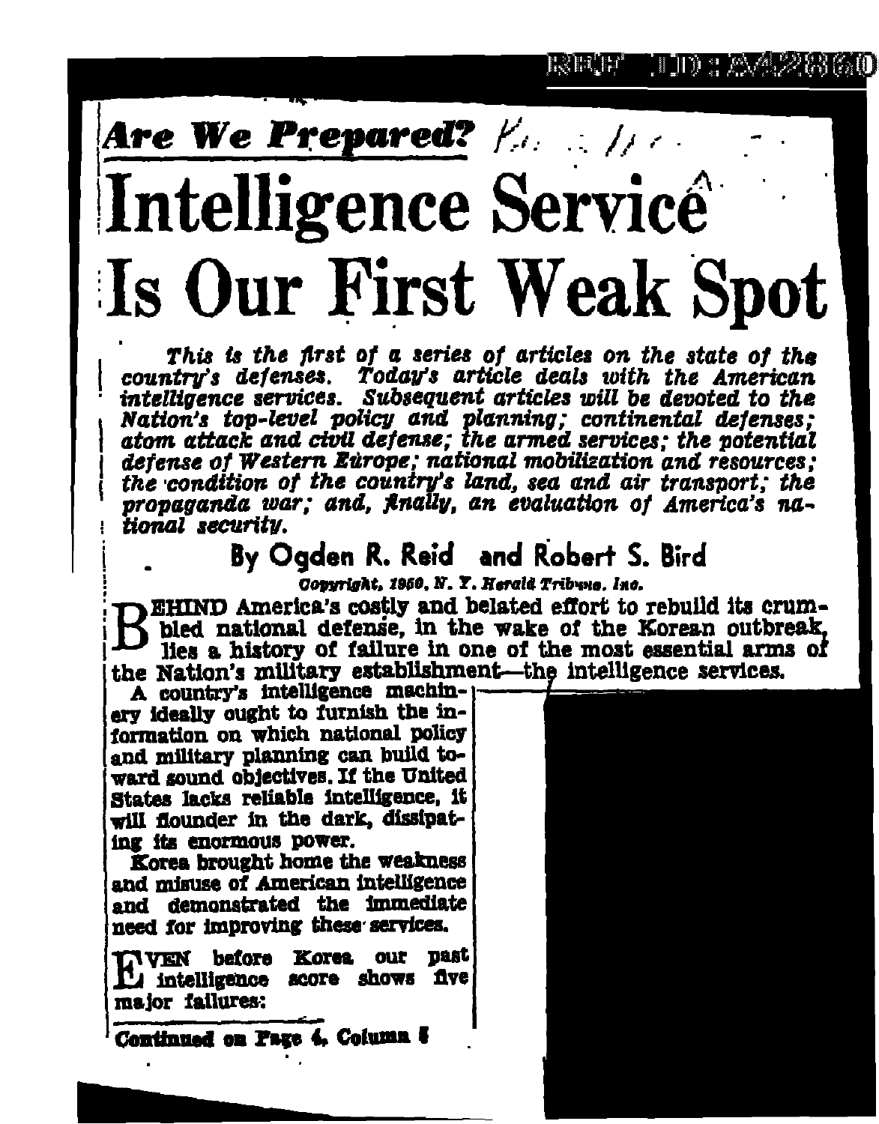# Are We Prepared?  $f_{\alpha} = f_{\alpha}$ Intelligence Servicé Is Our First Weak Spot

This is the first of a series of articles on the state of the country's defenses. Today's article deals with the American intelligence services. Subsequent articles will be devoted to the Nation's top-level policy and planning; continental defenses; atom attack and civil defense; the armed services; the potential detense of Western Europe, national mobilization and resources: the condition of the country's land, sea and air transport; the propaganda war; and, Anally, an evaluation of America's national security.

#### By Ogden R. Reid and Robert S. Bird

**Copyright, 1950, N. Y. Herald Tribune, Inc.** 

EHIND America's costly and belated effort to rebuild its crumbled national defense, in the wake of the Korean outbreak, lies a history of failure in one of the most essential arms of the Nation's military establishment—the intelligence services.

A country's intelligence machin-1 ery ideally ought to furnish the information on which national policy and military planning can build toward sound objectives. If the United States lacks reliable intelligence. it will flounder in the dark, dissipating its enormous power.

Korea brought home the weakness and misuse of American intelligence and demonstrated the immediate need for improving these services.

**INVEN** before Korea our past I'l intelligence acore shows five major failures:

Continued on Page 4. Column &